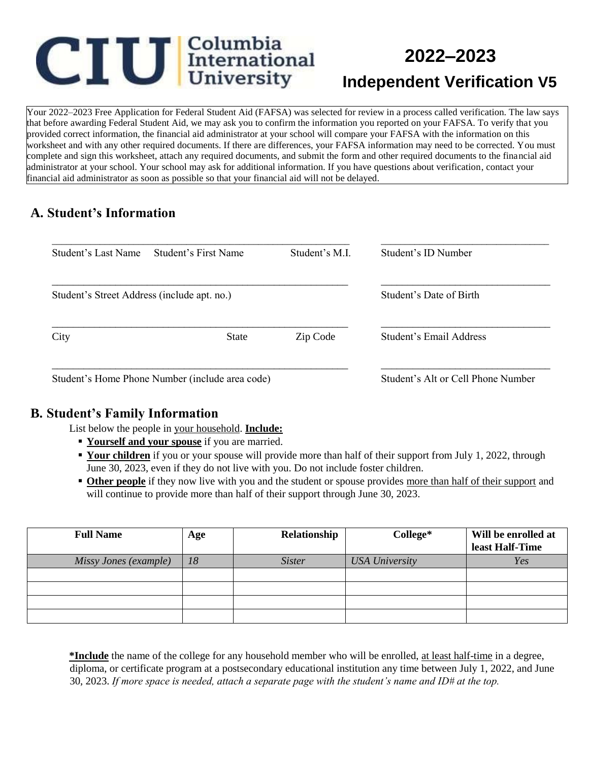# **CIU** International

# **2022–2023**

# **Independent Verification V5**

Your 2022–2023 Free Application for Federal Student Aid (FAFSA) was selected for review in a process called verification. The law says that before awarding Federal Student Aid, we may ask you to confirm the information you reported on your FAFSA. To verify that you provided correct information, the financial aid administrator at your school will compare your FAFSA with the information on this worksheet and with any other required documents. If there are differences, your FAFSA information may need to be corrected. You must complete and sign this worksheet, attach any required documents, and submit the form and other required documents to the financial aid administrator at your school. Your school may ask for additional information. If you have questions about verification, contact your financial aid administrator as soon as possible so that your financial aid will not be delayed.

#### **A. Student's Information**

| Student's Last Name                         | Student's First Name                            | Student's M.I.                     | Student's ID Number     |
|---------------------------------------------|-------------------------------------------------|------------------------------------|-------------------------|
| Student's Street Address (include apt. no.) |                                                 | Student's Date of Birth            |                         |
| City                                        | <b>State</b>                                    | Zip Code                           | Student's Email Address |
|                                             | Student's Home Phone Number (include area code) | Student's Alt or Cell Phone Number |                         |

#### **B. Student's Family Information**

List below the people in your household. **Include:**

- **Figure 1** Yourself and your spouse if you are married.
- **Your children** if you or your spouse will provide more than half of their support from July 1, 2022, through June 30, 2023, even if they do not live with you. Do not include foster children.
- **Other people** if they now live with you and the student or spouse provides more than half of their support and will continue to provide more than half of their support through June 30, 2023.

| <b>Full Name</b>      | Age | Relationship  | College*              | Will be enrolled at<br>least Half-Time |
|-----------------------|-----|---------------|-----------------------|----------------------------------------|
| Missy Jones (example) | 18  | <i>Sister</i> | <b>USA University</b> | Yes                                    |
|                       |     |               |                       |                                        |
|                       |     |               |                       |                                        |
|                       |     |               |                       |                                        |
|                       |     |               |                       |                                        |

**\*Include** the name of the college for any household member who will be enrolled, at least half-time in a degree, diploma, or certificate program at a postsecondary educational institution any time between July 1, 2022, and June 30, 2023. *If more space is needed, attach a separate page with the student's name and ID# at the top.*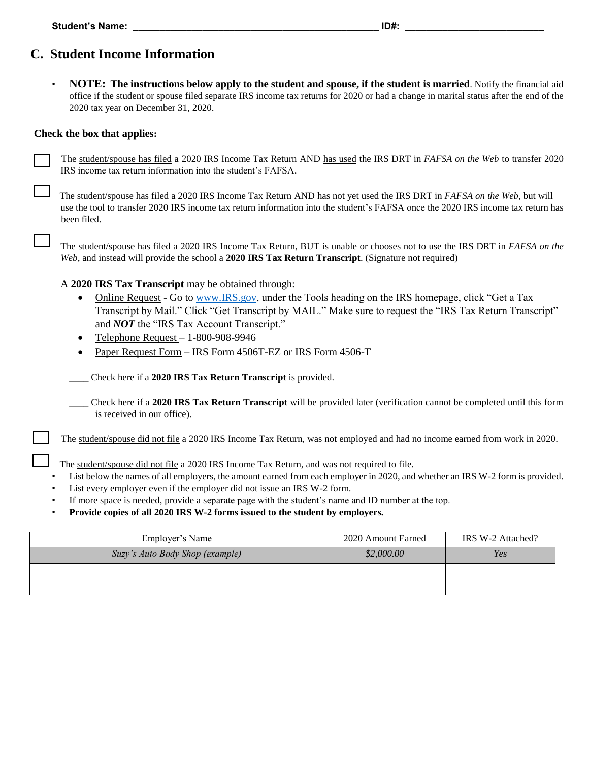## **C. Student Income Information**

• **NOTE: The instructions below apply to the student and spouse, if the student is married**. Notify the financial aid office if the student or spouse filed separate IRS income tax returns for 2020 or had a change in marital status after the end of the 2020 tax year on December 31, 2020.

#### **Check the box that applies:**

The student/spouse has filed a 2020 IRS Income Tax Return AND has used the IRS DRT in *FAFSA on the Web* to transfer 2020 IRS income tax return information into the student's FAFSA*.* 

The student/spouse has filed a 2020 IRS Income Tax Return AND has not yet used the IRS DRT in *FAFSA on the Web*, but will use the tool to transfer 2020 IRS income tax return information into the student's FAFSA once the 2020 IRS income tax return has been filed.

The student/spouse has filed a 2020 IRS Income Tax Return, BUT is unable or chooses not to use the IRS DRT in *FAFSA on the Web*, and instead will provide the school a **2020 IRS Tax Return Transcript**. (Signature not required)

#### A **2020 IRS Tax Transcript** may be obtained through:

- Online Request Go to [www.IRS.gov,](http://www.irs.gov/) under the Tools heading on the IRS homepage, click "Get a Tax Transcript by Mail." Click "Get Transcript by MAIL." Make sure to request the "IRS Tax Return Transcript" and *NOT* the "IRS Tax Account Transcript."
- Telephone Request 1-800-908-9946
- Paper Request Form IRS Form 4506T-EZ or IRS Form 4506-T

*\_\_\_\_* Check here if a **2020 IRS Tax Return Transcript** is provided.

\_\_\_\_ Check here if a **2020 IRS Tax Return Transcript** will be provided later (verification cannot be completed until this form is received in our office).

The student/spouse did not file a 2020 IRS Income Tax Return, was not employed and had no income earned from work in 2020.

The student/spouse did not file a 2020 IRS Income Tax Return, and was not required to file.

- List below the names of all employers, the amount earned from each employer in 2020, and whether an IRS W-2 form is provided.
- List every employer even if the employer did not issue an IRS W-2 form.
- If more space is needed, provide a separate page with the student's name and ID number at the top.
- **Provide copies of all 2020 IRS W-2 forms issued to the student by employers.**

| Employer's Name                 | 2020 Amount Earned | IRS W-2 Attached? |
|---------------------------------|--------------------|-------------------|
| Suzy's Auto Body Shop (example) | \$2,000.00         | Yes               |
|                                 |                    |                   |
|                                 |                    |                   |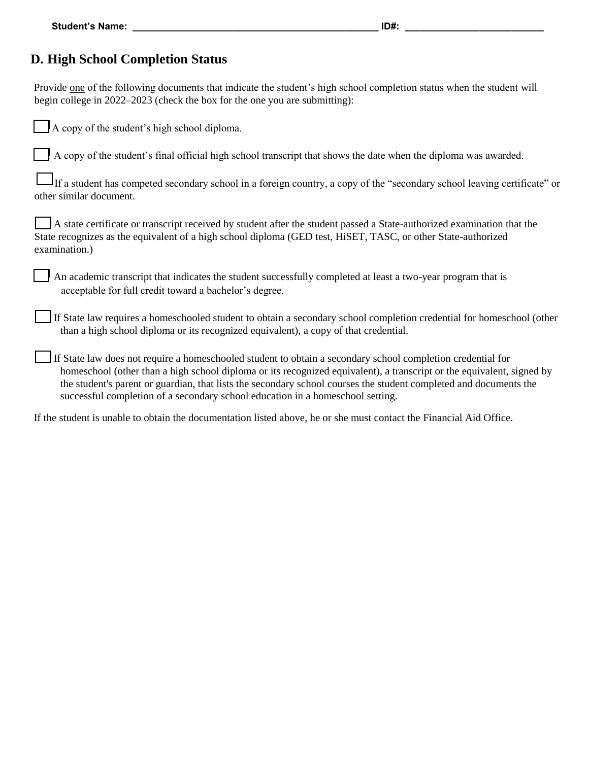#### **D. High School Completion Status**

Provide one of the following documents that indicate the student's high school completion status when the student will begin college in 2022–2023 (check the box for the one you are submitting):

|  |  |  | A copy of the student's high school diploma. |  |  |  |
|--|--|--|----------------------------------------------|--|--|--|
|--|--|--|----------------------------------------------|--|--|--|

A copy of the student's final official high school transcript that shows the date when the diploma was awarded.

If a student has competed secondary school in a foreign country, a copy of the "secondary school leaving certificate" or other similar document.

A state certificate or transcript received by student after the student passed a State-authorized examination that the State recognizes as the equivalent of a high school diploma (GED test, HiSET, TASC, or other State-authorized examination.)

An academic transcript that indicates the student successfully completed at least a two-year program that is acceptable for full credit toward a bachelor's degree.

If State law requires a homeschooled student to obtain a secondary school completion credential for homeschool (other than a high school diploma or its recognized equivalent), a copy of that credential.

If State law does not require a homeschooled student to obtain a secondary school completion credential for homeschool (other than a high school diploma or its recognized equivalent), a transcript or the equivalent, signed by the student's parent or guardian, that lists the secondary school courses the student completed and documents the successful completion of a secondary school education in a homeschool setting.

If the student is unable to obtain the documentation listed above, he or she must contact the Financial Aid Office.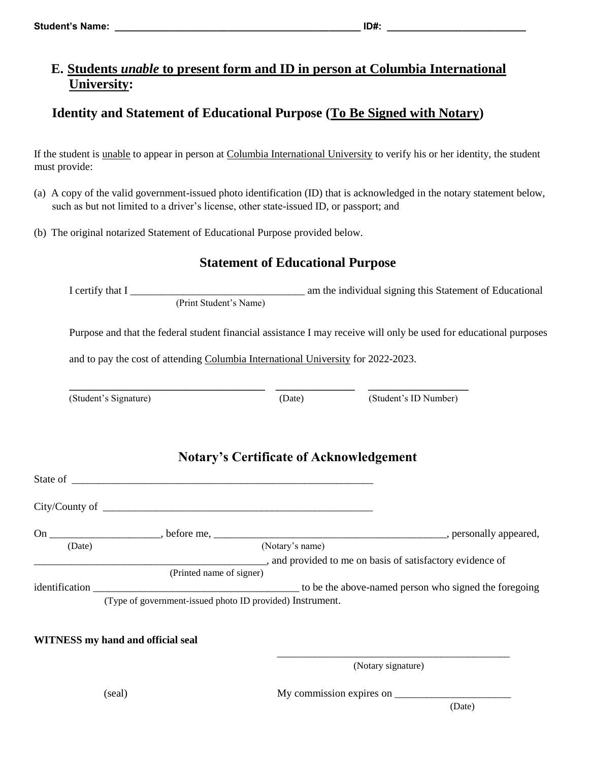#### **E. Students** *unable* **to present form and ID in person at Columbia International University:**

### **Identity and Statement of Educational Purpose (To Be Signed with Notary)**

If the student is unable to appear in person at Columbia International University to verify his or her identity, the student must provide:

- (a) A copy of the valid government-issued photo identification (ID) that is acknowledged in the notary statement below, such as but not limited to a driver's license, other state-issued ID, or passport; and
- (b) The original notarized Statement of Educational Purpose provided below.

#### **Statement of Educational Purpose**

I certify that I \_\_\_\_\_\_\_\_\_\_\_\_\_\_\_\_\_\_\_\_\_\_\_\_\_\_\_\_\_\_\_\_\_ am the individual signing this Statement of Educational (Print Student's Name)

Purpose and that the federal student financial assistance I may receive will only be used for educational purposes

and to pay the cost of attending Columbia International University for 2022-2023.

**\_\_\_\_\_\_\_\_\_\_\_\_\_\_\_\_\_\_\_\_\_\_\_\_\_\_\_\_\_\_\_\_\_\_\_\_\_ \_\_\_\_\_\_\_\_\_\_\_\_\_\_\_ \_\_\_\_\_\_\_\_\_\_\_\_\_\_\_\_\_\_\_**

(Student's Signature) (Date) (Student's ID Number)

|        |                                                           | <b>Notary's Certificate of Acknowledgement</b>             |
|--------|-----------------------------------------------------------|------------------------------------------------------------|
|        |                                                           |                                                            |
|        |                                                           |                                                            |
| (Date) |                                                           | (Notary's name)                                            |
|        |                                                           | _, and provided to me on basis of satisfactory evidence of |
|        | (Printed name of signer)                                  |                                                            |
|        |                                                           |                                                            |
|        | (Type of government-issued photo ID provided) Instrument. |                                                            |

 $\frac{1}{\sqrt{2\pi}}$  , which is a set of the set of the set of the set of the set of the set of the set of the set of the set of the set of the set of the set of the set of the set of the set of the set of the set of the set of

#### **WITNESS my hand and official seal**

(Notary signature)

(seal) My commission expires on \_\_\_\_\_\_\_\_\_\_\_\_\_\_\_\_\_\_\_\_\_\_